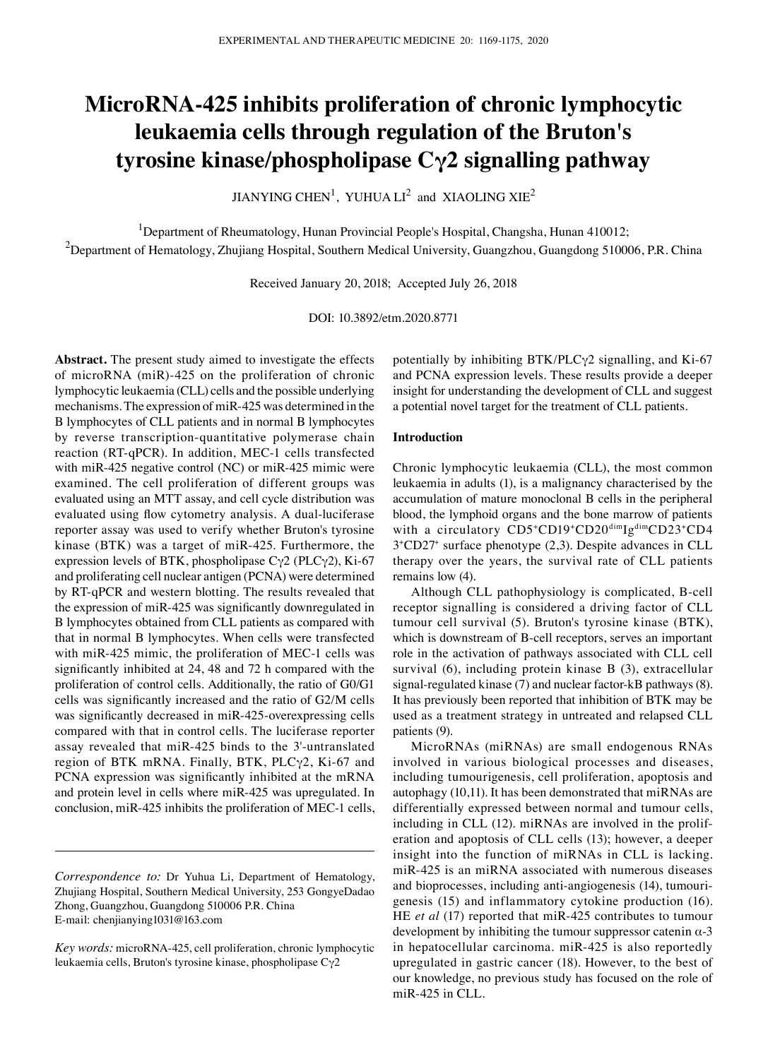# **MicroRNA‑425 inhibits proliferation of chronic lymphocytic leukaemia cells through regulation of the Bruton's tyrosine kinase/phospholipase Cγ2 signalling pathway**

JIANYING CHEN<sup>1</sup>, YUHUA  $\text{LI}^2$  and XIAOLING XIE<sup>2</sup>

<sup>1</sup>Department of Rheumatology, Hunan Provincial People's Hospital, Changsha, Hunan 410012;  $^2$ Department of Hematology, Zhujiang Hospital, Southern Medical University, Guangzhou, Guangdong 510006, P.R. China

Received January 20, 2018; Accepted July 26, 2018

DOI: 10.3892/etm.2020.8771

**Abstract.** The present study aimed to investigate the effects of microRNA (miR)-425 on the proliferation of chronic lymphocytic leukaemia (CLL) cells and the possible underlying mechanisms. The expression of miR-425 was determined in the B lymphocytes of CLL patients and in normal B lymphocytes by reverse transcription-quantitative polymerase chain reaction (RT-qPCR). In addition, MEC-1 cells transfected with miR-425 negative control (NC) or miR-425 mimic were examined. The cell proliferation of different groups was evaluated using an MTT assay, and cell cycle distribution was evaluated using flow cytometry analysis. A dual-luciferase reporter assay was used to verify whether Bruton's tyrosine kinase (BTK) was a target of miR-425. Furthermore, the expression levels of BTK, phospholipase  $C\gamma$ 2 (PLC $\gamma$ 2), Ki-67 and proliferating cell nuclear antigen (PCNA) were determined by RT-qPCR and western blotting. The results revealed that the expression of miR‑425 was significantly downregulated in B lymphocytes obtained from CLL patients as compared with that in normal B lymphocytes. When cells were transfected with miR-425 mimic, the proliferation of MEC-1 cells was significantly inhibited at 24, 48 and 72 h compared with the proliferation of control cells. Additionally, the ratio of G0/G1 cells was significantly increased and the ratio of G2/M cells was significantly decreased in miR-425-overexpressing cells compared with that in control cells. The luciferase reporter assay revealed that miR-425 binds to the 3'-untranslated region of BTK mRNA. Finally, BTK, PLCγ2, Ki-67 and PCNA expression was significantly inhibited at the mRNA and protein level in cells where miR-425 was upregulated. In conclusion, miR-425 inhibits the proliferation of MEC-1 cells,

potentially by inhibiting BTK/PLCγ2 signalling, and Ki-67 and PCNA expression levels. These results provide a deeper insight for understanding the development of CLL and suggest a potential novel target for the treatment of CLL patients.

## **Introduction**

Chronic lymphocytic leukaemia (CLL), the most common leukaemia in adults (1), is a malignancy characterised by the accumulation of mature monoclonal B cells in the peripheral blood, the lymphoid organs and the bone marrow of patients with a circulatory CD5+CD19+CD20<sup>dim</sup>Ig<sup>dim</sup>CD23+CD4 3+CD27+ surface phenotype (2,3). Despite advances in CLL therapy over the years, the survival rate of CLL patients remains low (4).

Although CLL pathophysiology is complicated, B-cell receptor signalling is considered a driving factor of CLL tumour cell survival (5). Bruton's tyrosine kinase (BTK), which is downstream of B-cell receptors, serves an important role in the activation of pathways associated with CLL cell survival (6), including protein kinase B (3), extracellular signal-regulated kinase (7) and nuclear factor-kB pathways (8). It has previously been reported that inhibition of BTK may be used as a treatment strategy in untreated and relapsed CLL patients (9).

MicroRNAs (miRNAs) are small endogenous RNAs involved in various biological processes and diseases, including tumourigenesis, cell proliferation, apoptosis and autophagy (10,11). It has been demonstrated that miRNAs are differentially expressed between normal and tumour cells, including in CLL (12). miRNAs are involved in the proliferation and apoptosis of CLL cells (13); however, a deeper insight into the function of miRNAs in CLL is lacking. miR-425 is an miRNA associated with numerous diseases and bioprocesses, including anti-angiogenesis (14), tumourigenesis (15) and inflammatory cytokine production (16). HE *et al* (17) reported that miR-425 contributes to tumour development by inhibiting the tumour suppressor catenin  $\alpha$ -3 in hepatocellular carcinoma. miR-425 is also reportedly upregulated in gastric cancer (18). However, to the best of our knowledge, no previous study has focused on the role of miR-425 in CLL.

*Correspondence to:* Dr Yuhua Li, Department of Hematology, Zhujiang Hospital, Southern Medical University, 253 GongyeDadao Zhong, Guangzhou, Guangdong 510006 P.R. China E-mail: chenjianying1031@163.com

*Key words:* microRNA-425, cell proliferation, chronic lymphocytic leukaemia cells, Bruton's tyrosine kinase, phospholipase Cγ2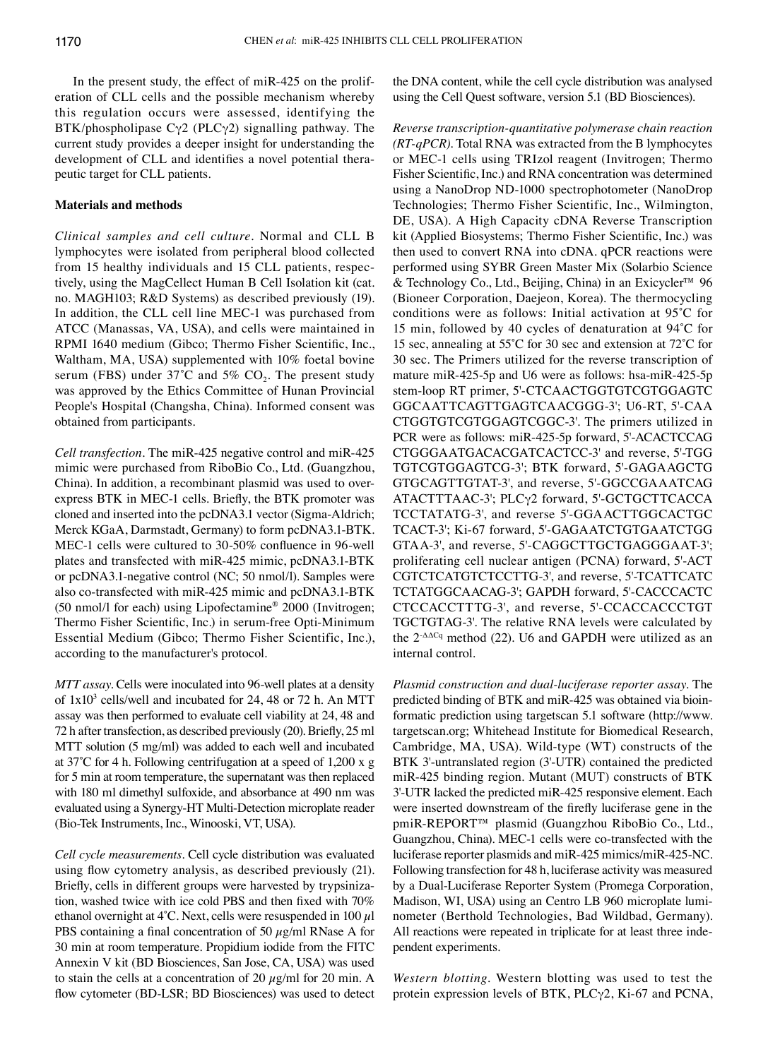In the present study, the effect of miR-425 on the proliferation of CLL cells and the possible mechanism whereby this regulation occurs were assessed, identifying the BTK/phospholipase  $C\gamma$ 2 (PLC $\gamma$ 2) signalling pathway. The current study provides a deeper insight for understanding the development of CLL and identifies a novel potential therapeutic target for CLL patients.

# **Materials and methods**

*Clinical samples and cell culture.* Normal and CLL B lymphocytes were isolated from peripheral blood collected from 15 healthy individuals and 15 CLL patients, respectively, using the MagCellect Human B Cell Isolation kit (cat. no. MAGH103; R&D Systems) as described previously (19). In addition, the CLL cell line MEC-1 was purchased from ATCC (Manassas, VA, USA), and cells were maintained in RPMI 1640 medium (Gibco; Thermo Fisher Scientific, Inc., Waltham, MA, USA) supplemented with 10% foetal bovine serum (FBS) under  $37^{\circ}$ C and  $5\%$  CO<sub>2</sub>. The present study was approved by the Ethics Committee of Hunan Provincial People's Hospital (Changsha, China). Informed consent was obtained from participants.

*Cell transfection.* The miR-425 negative control and miR-425 mimic were purchased from RiboBio Co., Ltd. (Guangzhou, China). In addition, a recombinant plasmid was used to overexpress BTK in MEC‑1 cells. Briefly, the BTK promoter was cloned and inserted into the pcDNA3.1 vector (Sigma-Aldrich; Merck KGaA, Darmstadt, Germany) to form pcDNA3.1-BTK. MEC‑1 cells were cultured to 30‑50% confluence in 96‑well plates and transfected with miR-425 mimic, pcDNA3.1-BTK or pcDNA3.1-negative control (NC; 50 nmol/l). Samples were also co-transfected with miR-425 mimic and pcDNA3.1-BTK (50 nmol/l for each) using Lipofectamine® 2000 (Invitrogen; Thermo Fisher Scientific, Inc.) in serum‑free Opti‑Minimum Essential Medium (Gibco; Thermo Fisher Scientific, Inc.), according to the manufacturer's protocol.

*MTT assay.* Cells were inoculated into 96-well plates at a density of 1x103 cells/well and incubated for 24, 48 or 72 h. An MTT assay was then performed to evaluate cell viability at 24, 48 and 72 h after transfection, as described previously (20). Briefly, 25 ml MTT solution (5 mg/ml) was added to each well and incubated at 37˚C for 4 h. Following centrifugation at a speed of 1,200 x g for 5 min at room temperature, the supernatant was then replaced with 180 ml dimethyl sulfoxide, and absorbance at 490 nm was evaluated using a Synergy-HT Multi-Detection microplate reader (Bio-Tek Instruments, Inc., Winooski, VT, USA).

*Cell cycle measurements.* Cell cycle distribution was evaluated using flow cytometry analysis, as described previously (21). Briefly, cells in different groups were harvested by trypsinization, washed twice with ice cold PBS and then fixed with 70% ethanol overnight at  $4^{\circ}$ C. Next, cells were resuspended in 100  $\mu$ l PBS containing a final concentration of 50  $\mu$ g/ml RNase A for 30 min at room temperature. Propidium iodide from the FITC Annexin V kit (BD Biosciences, San Jose, CA, USA) was used to stain the cells at a concentration of 20  $\mu$ g/ml for 20 min. A flow cytometer (BD-LSR; BD Biosciences) was used to detect the DNA content, while the cell cycle distribution was analysed using the Cell Quest software, version 5.1 (BD Biosciences).

*Reverse transcription‑quantitative polymerase chain reaction (RT‑qPCR).* Total RNA was extracted from the B lymphocytes or MEC-1 cells using TRIzol reagent (Invitrogen; Thermo Fisher Scientific, Inc.) and RNA concentration was determined using a NanoDrop ND-1000 spectrophotometer (NanoDrop Technologies; Thermo Fisher Scientific, Inc., Wilmington, DE, USA). A High Capacity cDNA Reverse Transcription kit (Applied Biosystems; Thermo Fisher Scientific, Inc.) was then used to convert RNA into cDNA. qPCR reactions were performed using SYBR Green Master Mix (Solarbio Science & Technology Co., Ltd., Beijing, China) in an Exicycler™ 96 (Bioneer Corporation, Daejeon, Korea). The thermocycling conditions were as follows: Initial activation at 95˚C for 15 min, followed by 40 cycles of denaturation at 94˚C for 15 sec, annealing at 55˚C for 30 sec and extension at 72˚C for 30 sec. The Primers utilized for the reverse transcription of mature miR-425-5p and U6 were as follows: hsa-miR-425-5p stem-loop RT primer, 5'-CTCAACTGGTGTCGTGGAGTC GGCAATTCAGTTGAGTCAACGGG-3'; U6-RT, 5'-CAA CTGGTGTCGTGGAGTCGGC-3'. The primers utilized in PCR were as follows: miR-425-5p forward, 5'-ACACTCCAG CTGGGAATGACACGATCACTCC-3' and reverse, 5'-TGG TGTCGTGGAGTCG-3'; BTK forward, 5'-GAGAAGCTG GTGCAGTTGTAT-3', and reverse, 5'-GGCCGAAATCAG ATACTTTAAC-3'; PLCγ2 forward, 5'-GCTGCTTCACCA TCCTATATG-3', and reverse 5'-GGAACTTGGCACTGC TCACT-3'; Ki-67 forward, 5'-GAGAATCTGTGAATCTGG GTAA-3', and reverse, 5'-CAGGCTTGCTGAGGGAAT-3'; proliferating cell nuclear antigen (PCNA) forward, 5'-ACT CGTCTCATGTCTCCTTG-3', and reverse, 5'-TCATTCATC TCTATGGCAACAG-3'; GAPDH forward, 5'-CACCCACTC CTCCACCTTTG-3', and reverse, 5'-CCACCACCCTGT TGCTGTAG-3'. The relative RNA levels were calculated by the  $2^{-\Delta\Delta Cq}$  method (22). U6 and GAPDH were utilized as an internal control.

*Plasmid construction and dual‑luciferase reporter assay.* The predicted binding of BTK and miR-425 was obtained via bioinformatic prediction using targetscan 5.1 software (http://www. targetscan.org; Whitehead Institute for Biomedical Research, Cambridge, MA, USA). Wild-type (WT) constructs of the BTK 3'-untranslated region (3'-UTR) contained the predicted miR-425 binding region. Mutant (MUT) constructs of BTK 3'-UTR lacked the predicted miR-425 responsive element. Each were inserted downstream of the firefly luciferase gene in the pmiR-REPORT™ plasmid (Guangzhou RiboBio Co., Ltd., Guangzhou, China). MEC-1 cells were co-transfected with the luciferase reporter plasmids and miR-425 mimics/miR-425-NC. Following transfection for 48 h, luciferase activity was measured by a Dual-Luciferase Reporter System (Promega Corporation, Madison, WI, USA) using an Centro LB 960 microplate luminometer (Berthold Technologies, Bad Wildbad, Germany). All reactions were repeated in triplicate for at least three independent experiments.

*Western blotting.* Western blotting was used to test the protein expression levels of BTK,  $PLC\gamma2$ , Ki-67 and PCNA,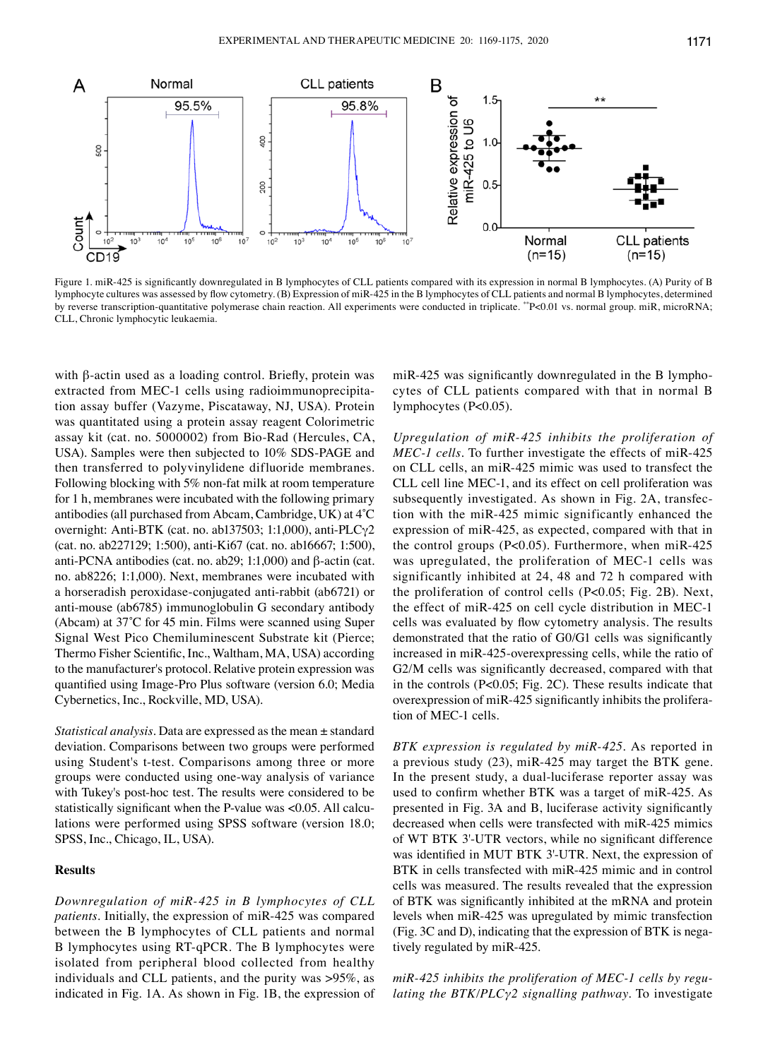

Figure 1. miR‑425 is significantly downregulated in B lymphocytes of CLL patients compared with its expression in normal B lymphocytes. (A) Purity of B lymphocyte cultures was assessed by flow cytometry. (B) Expression of miR‑425 in the B lymphocytes of CLL patients and normal B lymphocytes, determined by reverse transcription-quantitative polymerase chain reaction. All experiments were conducted in triplicate. \*\*P<0.01 vs. normal group. miR, microRNA; CLL, Chronic lymphocytic leukaemia.

with β-actin used as a loading control. Briefly, protein was extracted from MEC-1 cells using radioimmunoprecipitation assay buffer (Vazyme, Piscataway, NJ, USA). Protein was quantitated using a protein assay reagent Colorimetric assay kit (cat. no. 5000002) from Bio-Rad (Hercules, CA, USA). Samples were then subjected to 10% SDS-PAGE and then transferred to polyvinylidene difluoride membranes. Following blocking with 5% non-fat milk at room temperature for 1 h, membranes were incubated with the following primary antibodies (all purchased from Abcam, Cambridge, UK) at 4˚C overnight: Anti-BTK (cat. no. ab137503; 1:1,000), anti-PLCγ2 (cat. no. ab227129; 1:500), anti-Ki67 (cat. no. ab16667; 1:500), anti-PCNA antibodies (cat. no. ab29; 1:1,000) and β-actin (cat. no. ab8226; 1:1,000). Next, membranes were incubated with a horseradish peroxidase-conjugated anti-rabbit (ab6721) or anti‑mouse (ab6785) immunoglobulin G secondary antibody (Abcam) at 37˚C for 45 min. Films were scanned using Super Signal West Pico Chemiluminescent Substrate kit (Pierce; Thermo Fisher Scientific, Inc., Waltham, MA, USA) according to the manufacturer's protocol. Relative protein expression was quantified using Image‑Pro Plus software (version 6.0; Media Cybernetics, Inc., Rockville, MD, USA).

*Statistical analysis.* Data are expressed as the mean ± standard deviation. Comparisons between two groups were performed using Student's t-test. Comparisons among three or more groups were conducted using one-way analysis of variance with Tukey's post-hoc test. The results were considered to be statistically significant when the P-value was <0.05. All calculations were performed using SPSS software (version 18.0; SPSS, Inc., Chicago, IL, USA).

# **Results**

*Downregulation of miR‑425 in B lymphocytes of CLL patients.* Initially, the expression of miR-425 was compared between the B lymphocytes of CLL patients and normal B lymphocytes using RT-qPCR. The B lymphocytes were isolated from peripheral blood collected from healthy individuals and CLL patients, and the purity was >95%, as indicated in Fig. 1A. As shown in Fig. 1B, the expression of miR‑425 was significantly downregulated in the B lymphocytes of CLL patients compared with that in normal B lymphocytes (P<0.05).

*Upregulation of miR‑425 inhibits the proliferation of MEC-1 cells*. To further investigate the effects of miR-425 on CLL cells, an miR-425 mimic was used to transfect the CLL cell line MEC-1, and its effect on cell proliferation was subsequently investigated. As shown in Fig. 2A, transfection with the miR-425 mimic significantly enhanced the expression of miR-425, as expected, compared with that in the control groups  $(P<0.05)$ . Furthermore, when miR-425 was upregulated, the proliferation of MEC-1 cells was significantly inhibited at 24, 48 and 72 h compared with the proliferation of control cells (P<0.05; Fig. 2B). Next, the effect of miR-425 on cell cycle distribution in MEC-1 cells was evaluated by flow cytometry analysis. The results demonstrated that the ratio of G0/G1 cells was significantly increased in miR-425-overexpressing cells, while the ratio of G2/M cells was significantly decreased, compared with that in the controls (P<0.05; Fig. 2C). These results indicate that overexpression of miR‑425 significantly inhibits the proliferation of MEC-1 cells.

*BTK expression is regulated by miR‑425.* As reported in a previous study (23), miR-425 may target the BTK gene. In the present study, a dual-luciferase reporter assay was used to confirm whether BTK was a target of miR‑425. As presented in Fig. 3A and B, luciferase activity significantly decreased when cells were transfected with miR-425 mimics of WT BTK 3'‑UTR vectors, while no significant difference was identified in MUT BTK 3'-UTR. Next, the expression of BTK in cells transfected with miR-425 mimic and in control cells was measured. The results revealed that the expression of BTK was significantly inhibited at the mRNA and protein levels when miR-425 was upregulated by mimic transfection (Fig. 3C and D), indicating that the expression of BTK is negatively regulated by miR-425.

*miR‑425 inhibits the proliferation of MEC‑1 cells by regu‑ lating the BTK/PLCγ2 signalling pathway.* To investigate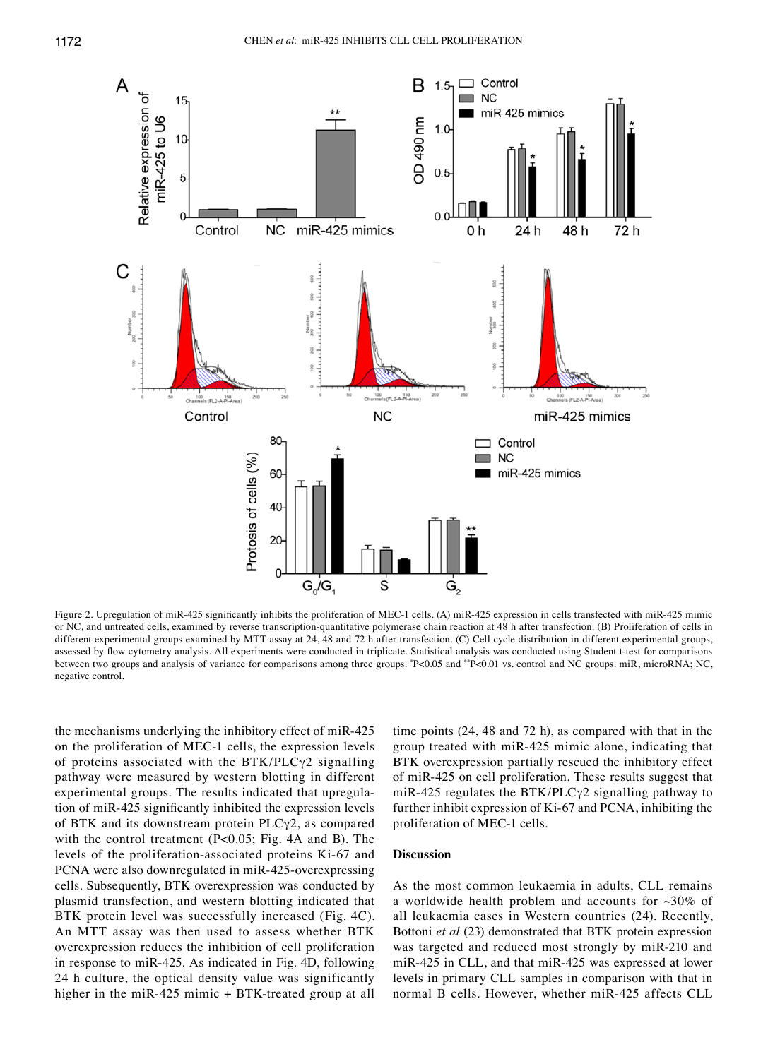

Figure 2. Upregulation of miR‑425 significantly inhibits the proliferation of MEC‑1 cells. (A) miR‑425 expression in cells transfected with miR‑425 mimic or NC, and untreated cells, examined by reverse transcription‑quantitative polymerase chain reaction at 48 h after transfection. (B) Proliferation of cells in different experimental groups examined by MTT assay at 24, 48 and 72 h after transfection. (C) Cell cycle distribution in different experimental groups, assessed by flow cytometry analysis. All experiments were conducted in triplicate. Statistical analysis was conducted using Student t-test for comparisons between two groups and analysis of variance for comparisons among three groups. "P<0.05 and ""P<0.01 vs. control and NC groups. miR, microRNA; NC, negative control.

the mechanisms underlying the inhibitory effect of miR-425 on the proliferation of MEC-1 cells, the expression levels of proteins associated with the BTK/PLCγ2 signalling pathway were measured by western blotting in different experimental groups. The results indicated that upregulation of miR‑425 significantly inhibited the expression levels of BTK and its downstream protein PLCγ2, as compared with the control treatment (P<0.05; Fig. 4A and B). The levels of the proliferation-associated proteins Ki-67 and PCNA were also downregulated in miR-425-overexpressing cells. Subsequently, BTK overexpression was conducted by plasmid transfection, and western blotting indicated that BTK protein level was successfully increased (Fig. 4C). An MTT assay was then used to assess whether BTK overexpression reduces the inhibition of cell proliferation in response to miR-425. As indicated in Fig. 4D, following 24 h culture, the optical density value was significantly higher in the miR-425 mimic + BTK-treated group at all

time points (24, 48 and 72 h), as compared with that in the group treated with miR-425 mimic alone, indicating that BTK overexpression partially rescued the inhibitory effect of miR-425 on cell proliferation. These results suggest that miR-425 regulates the BTK/PLC $\gamma$ 2 signalling pathway to further inhibit expression of Ki-67 and PCNA, inhibiting the proliferation of MEC-1 cells.

# **Discussion**

As the most common leukaemia in adults, CLL remains a worldwide health problem and accounts for  $\sim 30\%$  of all leukaemia cases in Western countries (24). Recently, Bottoni *et al* (23) demonstrated that BTK protein expression was targeted and reduced most strongly by miR-210 and miR-425 in CLL, and that miR-425 was expressed at lower levels in primary CLL samples in comparison with that in normal B cells. However, whether miR-425 affects CLL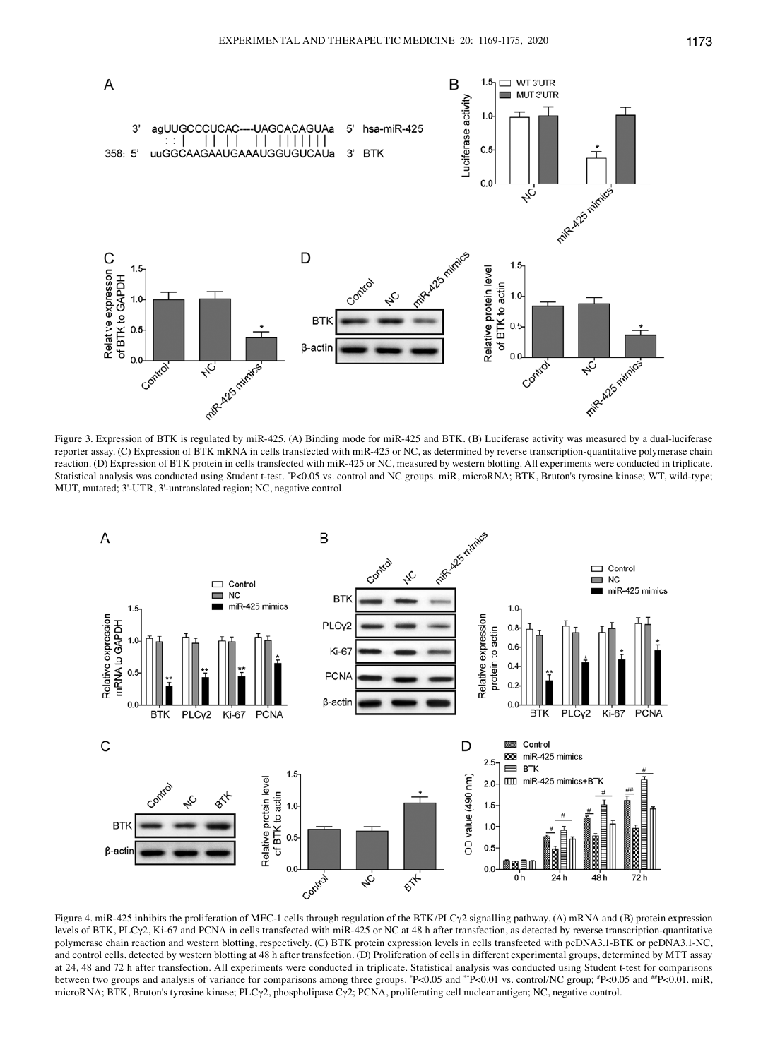

Figure 3. Expression of BTK is regulated by miR-425. (A) Binding mode for miR-425 and BTK. (B) Luciferase activity was measured by a dual-luciferase reporter assay. (C) Expression of BTK mRNA in cells transfected with miR-425 or NC, as determined by reverse transcription-quantitative polymerase chain reaction. (D) Expression of BTK protein in cells transfected with miR-425 or NC, measured by western blotting. All experiments were conducted in triplicate. Statistical analysis was conducted using Student t-test. \* P<0.05 vs. control and NC groups. miR, microRNA; BTK, Bruton's tyrosine kinase; WT, wild‑type; MUT, mutated; 3'-UTR, 3'-untranslated region; NC, negative control.



Figure 4. miR-425 inhibits the proliferation of MEC-1 cells through regulation of the BTK/PLCγ2 signalling pathway. (A) mRNA and (B) protein expression levels of BTK, PLCγ2, Ki-67 and PCNA in cells transfected with miR-425 or NC at 48 h after transfection, as detected by reverse transcription-quantitative polymerase chain reaction and western blotting, respectively. (C) BTK protein expression levels in cells transfected with pcDNA3.1-BTK or pcDNA3.1-NC, and control cells, detected by western blotting at 48 h after transfection. (D) Proliferation of cells in different experimental groups, determined by MTT assay at 24, 48 and 72 h after transfection. All experiments were conducted in triplicate. Statistical analysis was conducted using Student t-test for comparisons between two groups and analysis of variance for comparisons among three groups. "P<0.05 and ""P<0.01 vs. control/NC group; "P<0.05 and ""P<0.01. miR, microRNA; BTK, Bruton's tyrosine kinase; PLCγ2, phospholipase Cγ2; PCNA, proliferating cell nuclear antigen; NC, negative control.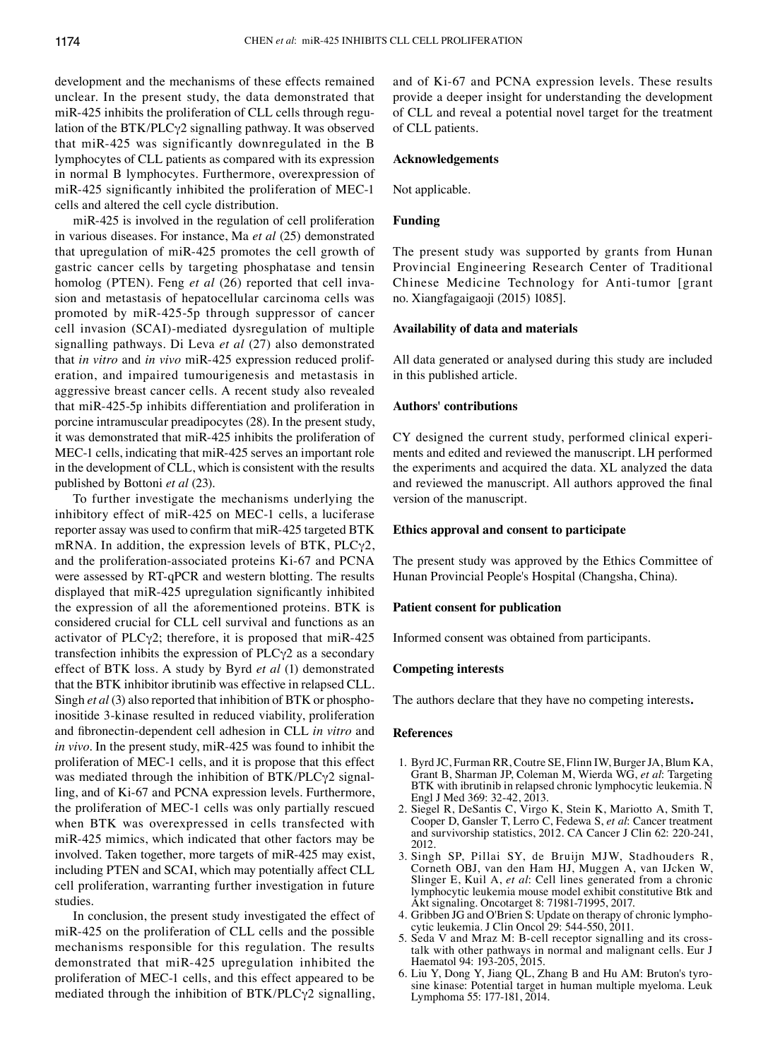development and the mechanisms of these effects remained unclear. In the present study, the data demonstrated that miR-425 inhibits the proliferation of CLL cells through regulation of the BTK/PLCγ2 signalling pathway. It was observed that miR-425 was significantly downregulated in the B lymphocytes of CLL patients as compared with its expression in normal B lymphocytes. Furthermore, overexpression of miR-425 significantly inhibited the proliferation of MEC-1 cells and altered the cell cycle distribution.

miR-425 is involved in the regulation of cell proliferation in various diseases. For instance, Ma *et al* (25) demonstrated that upregulation of miR-425 promotes the cell growth of gastric cancer cells by targeting phosphatase and tensin homolog (PTEN). Feng *et al* (26) reported that cell invasion and metastasis of hepatocellular carcinoma cells was promoted by miR-425-5p through suppressor of cancer cell invasion (SCAI)-mediated dysregulation of multiple signalling pathways. Di Leva *et al* (27) also demonstrated that *in vitro* and *in vivo* miR-425 expression reduced proliferation, and impaired tumourigenesis and metastasis in aggressive breast cancer cells. A recent study also revealed that miR-425-5p inhibits differentiation and proliferation in porcine intramuscular preadipocytes (28). In the present study, it was demonstrated that miR-425 inhibits the proliferation of MEC-1 cells, indicating that miR-425 serves an important role in the development of CLL, which is consistent with the results published by Bottoni *et al* (23).

To further investigate the mechanisms underlying the inhibitory effect of miR-425 on MEC-1 cells, a luciferase reporter assay was used to confirm that miR‑425 targeted BTK mRNA. In addition, the expression levels of BTK, PLCγ2, and the proliferation-associated proteins Ki-67 and PCNA were assessed by RT-qPCR and western blotting. The results displayed that miR‑425 upregulation significantly inhibited the expression of all the aforementioned proteins. BTK is considered crucial for CLL cell survival and functions as an activator of PLCγ2; therefore, it is proposed that miR-425 transfection inhibits the expression of PLCγ2 as a secondary effect of BTK loss. A study by Byrd *et al* (1) demonstrated that the BTK inhibitor ibrutinib was effective in relapsed CLL. Singh *et al* (3) also reported that inhibition of BTK or phosphoinositide 3-kinase resulted in reduced viability, proliferation and fibronectin‑dependent cell adhesion in CLL *in vitro* and *in vivo*. In the present study, miR-425 was found to inhibit the proliferation of MEC-1 cells, and it is propose that this effect was mediated through the inhibition of BTK/PLCγ2 signalling, and of Ki-67 and PCNA expression levels. Furthermore, the proliferation of MEC-1 cells was only partially rescued when BTK was overexpressed in cells transfected with miR-425 mimics, which indicated that other factors may be involved. Taken together, more targets of miR-425 may exist, including PTEN and SCAI, which may potentially affect CLL cell proliferation, warranting further investigation in future studies.

In conclusion, the present study investigated the effect of miR-425 on the proliferation of CLL cells and the possible mechanisms responsible for this regulation. The results demonstrated that miR-425 upregulation inhibited the proliferation of MEC-1 cells, and this effect appeared to be mediated through the inhibition of  $BTK/PLC\gamma2$  signalling, and of Ki-67 and PCNA expression levels. These results provide a deeper insight for understanding the development of CLL and reveal a potential novel target for the treatment of CLL patients.

## **Acknowledgements**

Not applicable.

#### **Funding**

The present study was supported by grants from Hunan Provincial Engineering Research Center of Traditional Chinese Medicine Technology for Anti-tumor [grant no. Xiangfagaigaoji (2015) 1085].

## **Availability of data and materials**

All data generated or analysed during this study are included in this published article.

### **Authors' contributions**

CY designed the current study, performed clinical experiments and edited and reviewed the manuscript. LH performed the experiments and acquired the data. XL analyzed the data and reviewed the manuscript. All authors approved the final version of the manuscript.

## **Ethics approval and consent to participate**

The present study was approved by the Ethics Committee of Hunan Provincial People's Hospital (Changsha, China).

#### **Patient consent for publication**

Informed consent was obtained from participants.

#### **Competing interests**

The authors declare that they have no competing interests**.**

#### **References**

- 1. Byrd JC, Furman RR, Coutre SE, Flinn IW, Burger JA, Blum KA, Grant B, Sharman JP, Coleman M, Wierda WG, *et al*: Targeting BTK with ibrutinib in relapsed chronic lymphocytic leukemia. N Engl J Med 369: 32-42, 2013.
- 2. Siegel R, DeSantis C, Virgo K, Stein K, Mariotto A, Smith T, Cooper D, Gansler T, Lerro C, Fedewa S, *et al*: Cancer treatment and survivorship statistics, 2012. CA Cancer J Clin 62: 220-241, 2012.
- 3. Singh SP, Pillai SY, de Bruijn MJW, Stadhouders R, Corneth OBJ, van den Ham HJ, Muggen A, van IJcken W, Slinger E, Kuil A, *et al*: Cell lines generated from a chronic lymphocytic leukemia mouse model exhibit constitutive Btk and Akt signaling. Oncotarget 8: 71981‑71995, 2017.
- 4. Gribben JG and O'Brien S: Update on therapy of chronic lymphocytic leukemia. J Clin Oncol 29: 544-550, 2011.
- 5. Seda V and Mraz M: B-cell receptor signalling and its crosstalk with other pathways in normal and malignant cells. Eur J Haematol 94: 193-205, 2015.
- 6. Liu Y, Dong Y, Jiang QL, Zhang B and Hu AM: Bruton's tyrosine kinase: Potential target in human multiple myeloma. Leuk Lymphoma 55: 177‑181, 2014.